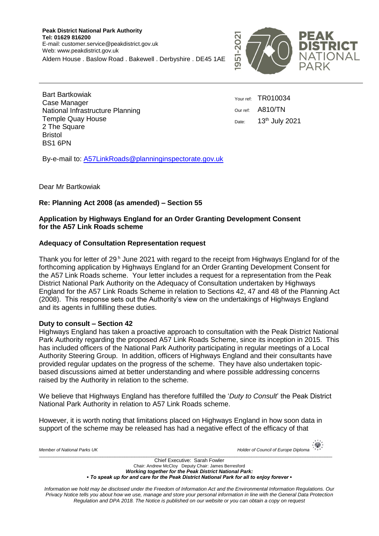**Peak District National Park Authority Tel: 01629 816200** E-mail: customer.service@peakdistrict.gov.uk Web: www.peakdistrict.gov.uk Aldern House . Baslow Road . Bakewell . Derbyshire . DE45 1AE



 $x^*$ 

Bart Bartkowiak Case Manager National Infrastructure Planning Temple Quay House 2 The Square Bristol BS1 6PN

Your ref: TR010034 Our ref: A810/TN Date: 13<sup>th</sup> July 2021

By-e-mail to: A57LinkRoads@planninginspectorate.gov.uk

Dear Mr Bartkowiak

# **Re: Planning Act 2008 (as amended) – Section 55**

# **Application by Highways England for an Order Granting Development Consent for the A57 Link Roads scheme**

# **Adequacy of Consultation Representation request**

Thank you for letter of 29<sup>h</sup> June 2021 with regard to the receipt from Highways England for of the forthcoming application by Highways England for an Order Granting Development Consent for the A57 Link Roads scheme. Your letter includes a request for a representation from the Peak District National Park Authority on the Adequacy of Consultation undertaken by Highways England for the A57 Link Roads Scheme in relation to Sections 42, 47 and 48 of the Planning Act (2008). This response sets out the Authority's view on the undertakings of Highways England and its agents in fulfilling these duties.

# **Duty to consult – Section 42**

Highways England has taken a proactive approach to consultation with the Peak District National Park Authority regarding the proposed A57 Link Roads Scheme, since its inception in 2015. This has included officers of the National Park Authority participating in regular meetings of a Local Authority Steering Group. In addition, officers of Highways England and their consultants have provided regular updates on the progress of the scheme. They have also undertaken topicbased discussions aimed at better understanding and where possible addressing concerns raised by the Authority in relation to the scheme.

We believe that Highways England has therefore fulfilled the '*Duty to Consult*' the Peak District National Park Authority in relation to A57 Link Roads scheme.

However, it is worth noting that limitations placed on Highways England in how soon data in support of the scheme may be released has had a negative effect of the efficacy of that

| Member of National Parks UK                                                                                    | $\frac{1}{2}$<br>Holder of Council of Europe Diploma *** |
|----------------------------------------------------------------------------------------------------------------|----------------------------------------------------------|
| Chief Executive: Sarah Fowler                                                                                  |                                                          |
| Chair: Andrew McCloy Deputy Chair: James Berresford                                                            |                                                          |
| 147 - Albert John Holland, Amerikaansk fiskultur (* 14. april 15. april 15. april 15. april 15. april 15. apri |                                                          |

*Working together for the Peak District National Park: ▪ To speak up for and care for the Peak District National Park for all to enjoy forever ▪*

*Information we hold may be disclosed under the Freedom of Information Act and the Environmental Information Regulations. Our Privacy Notice tells you about how we use, manage and store your personal information in line with the General Data Protection Regulation and DPA 2018. The Notice is published on our website or you can obtain a copy on request*